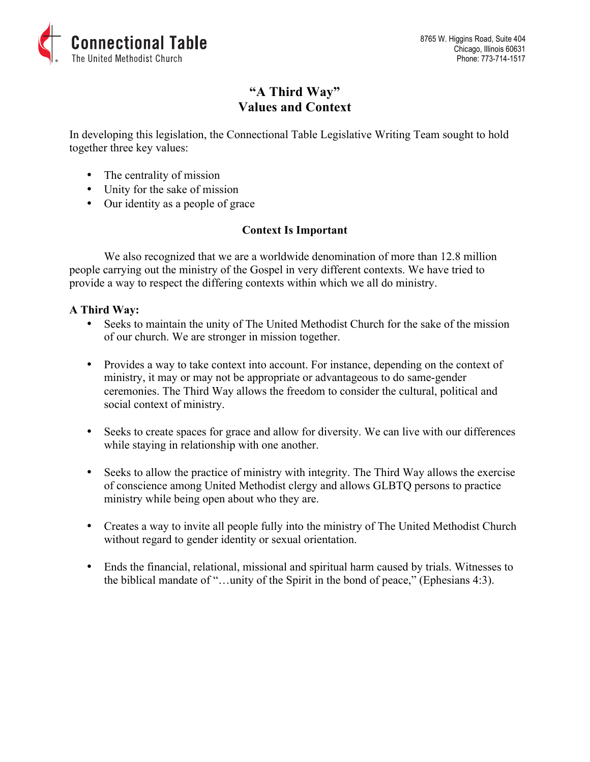

# **"A Third Way" Values and Context**

In developing this legislation, the Connectional Table Legislative Writing Team sought to hold together three key values:

- The centrality of mission
- Unity for the sake of mission
- Our identity as a people of grace

# **Context Is Important**

We also recognized that we are a worldwide denomination of more than 12.8 million people carrying out the ministry of the Gospel in very different contexts. We have tried to provide a way to respect the differing contexts within which we all do ministry.

### **A Third Way:**

- Seeks to maintain the unity of The United Methodist Church for the sake of the mission of our church. We are stronger in mission together.
- Provides a way to take context into account. For instance, depending on the context of ministry, it may or may not be appropriate or advantageous to do same-gender ceremonies. The Third Way allows the freedom to consider the cultural, political and social context of ministry.
- Seeks to create spaces for grace and allow for diversity. We can live with our differences while staying in relationship with one another.
- Seeks to allow the practice of ministry with integrity. The Third Way allows the exercise of conscience among United Methodist clergy and allows GLBTQ persons to practice ministry while being open about who they are.
- Creates a way to invite all people fully into the ministry of The United Methodist Church without regard to gender identity or sexual orientation.
- Ends the financial, relational, missional and spiritual harm caused by trials. Witnesses to the biblical mandate of "…unity of the Spirit in the bond of peace," (Ephesians 4:3).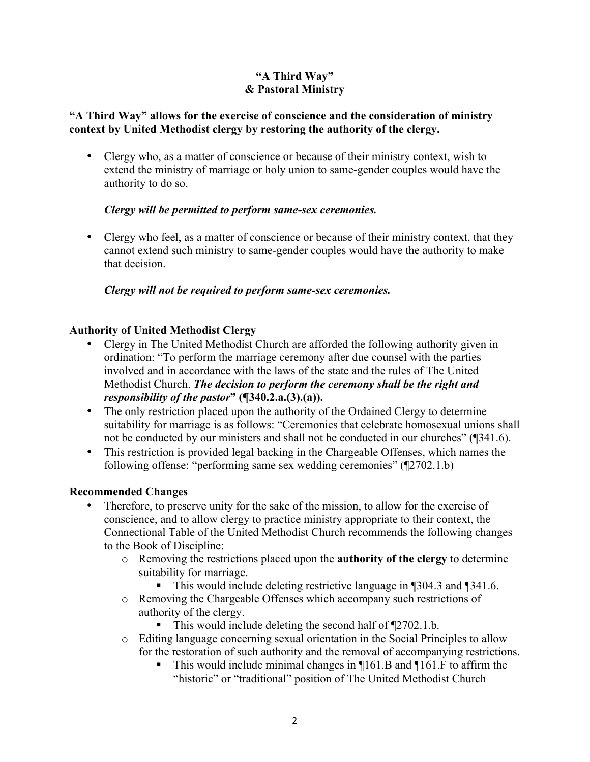### **"A Third Way" & Pastoral Ministry**

### **"A Third Way" allows for the exercise of conscience and the consideration of ministry context by United Methodist clergy by restoring the authority of the clergy.**

• Clergy who, as a matter of conscience or because of their ministry context, wish to extend the ministry of marriage or holy union to same-gender couples would have the authority to do so.

### *Clergy will be permitted to perform same-sex ceremonies.*

• Clergy who feel, as a matter of conscience or because of their ministry context, that they cannot extend such ministry to same-gender couples would have the authority to make that decision.

### *Clergy will not be required to perform same-sex ceremonies.*

# **Authority of United Methodist Clergy**

- Clergy in The United Methodist Church are afforded the following authority given in ordination: "To perform the marriage ceremony after due counsel with the parties involved and in accordance with the laws of the state and the rules of The United Methodist Church. *The decision to perform the ceremony shall be the right and responsibility of the pastor***" (¶340.2.a.(3).(a)).**
- The only restriction placed upon the authority of the Ordained Clergy to determine suitability for marriage is as follows: "Ceremonies that celebrate homosexual unions shall not be conducted by our ministers and shall not be conducted in our churches" (¶341.6).
- This restriction is provided legal backing in the Chargeable Offenses, which names the following offense: "performing same sex wedding ceremonies" (¶2702.1.b)

### **Recommended Changes**

- Therefore, to preserve unity for the sake of the mission, to allow for the exercise of conscience, and to allow clergy to practice ministry appropriate to their context, the Connectional Table of the United Methodist Church recommends the following changes to the Book of Discipline:
	- o Removing the restrictions placed upon the **authority of the clergy** to determine suitability for marriage.
		- This would include deleting restrictive language in ¶304.3 and ¶341.6.
	- o Removing the Chargeable Offenses which accompany such restrictions of authority of the clergy.
		- This would include deleting the second half of ¶2702.1.b.
	- o Editing language concerning sexual orientation in the Social Principles to allow for the restoration of such authority and the removal of accompanying restrictions.
		- This would include minimal changes in ¶161.B and ¶161.F to affirm the "historic" or "traditional" position of The United Methodist Church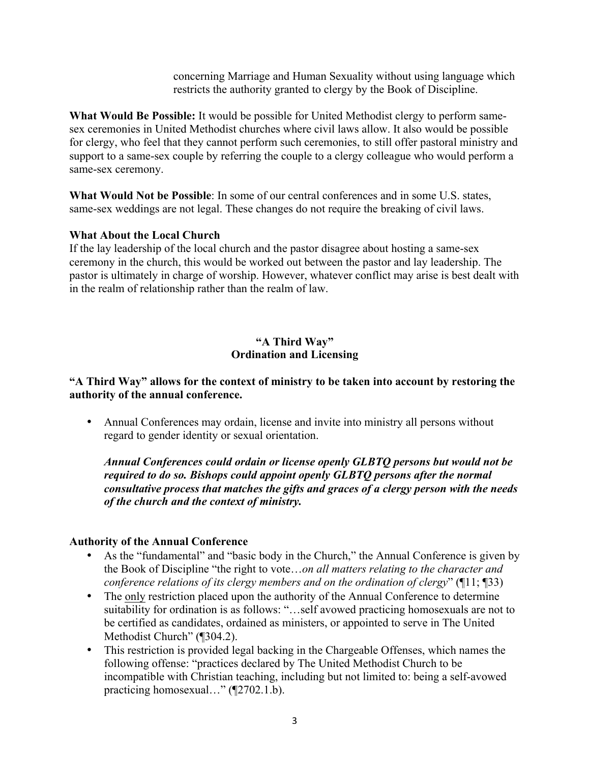concerning Marriage and Human Sexuality without using language which restricts the authority granted to clergy by the Book of Discipline.

**What Would Be Possible:** It would be possible for United Methodist clergy to perform samesex ceremonies in United Methodist churches where civil laws allow. It also would be possible for clergy, who feel that they cannot perform such ceremonies, to still offer pastoral ministry and support to a same-sex couple by referring the couple to a clergy colleague who would perform a same-sex ceremony.

**What Would Not be Possible**: In some of our central conferences and in some U.S. states, same-sex weddings are not legal. These changes do not require the breaking of civil laws.

### **What About the Local Church**

If the lay leadership of the local church and the pastor disagree about hosting a same-sex ceremony in the church, this would be worked out between the pastor and lay leadership. The pastor is ultimately in charge of worship. However, whatever conflict may arise is best dealt with in the realm of relationship rather than the realm of law.

### **"A Third Way" Ordination and Licensing**

### **"A Third Way" allows for the context of ministry to be taken into account by restoring the authority of the annual conference.**

• Annual Conferences may ordain, license and invite into ministry all persons without regard to gender identity or sexual orientation.

*Annual Conferences could ordain or license openly GLBTQ persons but would not be required to do so. Bishops could appoint openly GLBTQ persons after the normal consultative process that matches the gifts and graces of a clergy person with the needs of the church and the context of ministry.*

#### **Authority of the Annual Conference**

- As the "fundamental" and "basic body in the Church," the Annual Conference is given by the Book of Discipline "the right to vote…*on all matters relating to the character and conference relations of its clergy members and on the ordination of clergy*" (¶11; ¶33)
- The only restriction placed upon the authority of the Annual Conference to determine suitability for ordination is as follows: "…self avowed practicing homosexuals are not to be certified as candidates, ordained as ministers, or appointed to serve in The United Methodist Church" (¶304.2).
- This restriction is provided legal backing in the Chargeable Offenses, which names the following offense: "practices declared by The United Methodist Church to be incompatible with Christian teaching, including but not limited to: being a self-avowed practicing homosexual..." (¶2702.1.b).